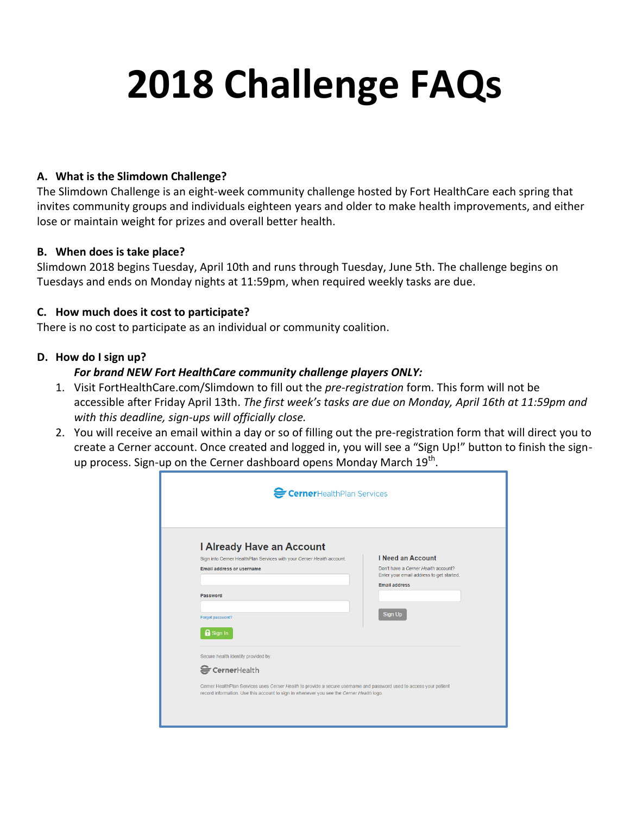# **2018 Challenge FAQs**

#### **A. What is the Slimdown Challenge?**

The Slimdown Challenge is an eight-week community challenge hosted by Fort HealthCare each spring that invites community groups and individuals eighteen years and older to make health improvements, and either lose or maintain weight for prizes and overall better health.

#### **B. When does is take place?**

Slimdown 2018 begins Tuesday, April 10th and runs through Tuesday, June 5th. The challenge begins on Tuesdays and ends on Monday nights at 11:59pm, when required weekly tasks are due.

#### **C. How much does it cost to participate?**

There is no cost to participate as an individual or community coalition.

#### **D. How do I sign up?**

#### *For brand NEW Fort HealthCare community challenge players ONLY:*

- 1. Visit FortHealthCare.com/Slimdown to fill out the *pre-registration* form. This form will not be accessible after Friday April 13th. *The first week's tasks are due on Monday, April 16th at 11:59pm and with this deadline, sign-ups will officially close.*
- 2. You will receive an email within a day or so of filling out the pre-registration form that will direct you to create a Cerner account. Once created and logged in, you will see a "Sign Up!" button to finish the signup process. Sign-up on the Cerner dashboard opens Monday March 19<sup>th</sup>.

| CernerHealthPlan Services                                                                                           |                                                                                 |
|---------------------------------------------------------------------------------------------------------------------|---------------------------------------------------------------------------------|
|                                                                                                                     |                                                                                 |
|                                                                                                                     |                                                                                 |
|                                                                                                                     |                                                                                 |
|                                                                                                                     |                                                                                 |
|                                                                                                                     |                                                                                 |
| I Already Have an Account                                                                                           |                                                                                 |
| Sign into Cerner HealthPlan Services with your Cerner Health account.                                               | <b>I Need an Account</b>                                                        |
| <b>Email address or username</b>                                                                                    | Don't have a Cerner Health account?<br>Enter your email address to get started. |
|                                                                                                                     | <b>Email address</b>                                                            |
| Password                                                                                                            |                                                                                 |
|                                                                                                                     |                                                                                 |
| Forgot password?                                                                                                    | Sign Up                                                                         |
| <b>A</b> Sign In                                                                                                    |                                                                                 |
|                                                                                                                     |                                                                                 |
| Secure health identity provided by:                                                                                 |                                                                                 |
|                                                                                                                     |                                                                                 |
| CernerHealth                                                                                                        |                                                                                 |
| Cerner HealthPlan Services uses Cerner Health to provide a secure username and password used to access your patient |                                                                                 |
| record information. Use this account to sign in whenever you see the Cerner Health logo.                            |                                                                                 |
|                                                                                                                     |                                                                                 |
|                                                                                                                     |                                                                                 |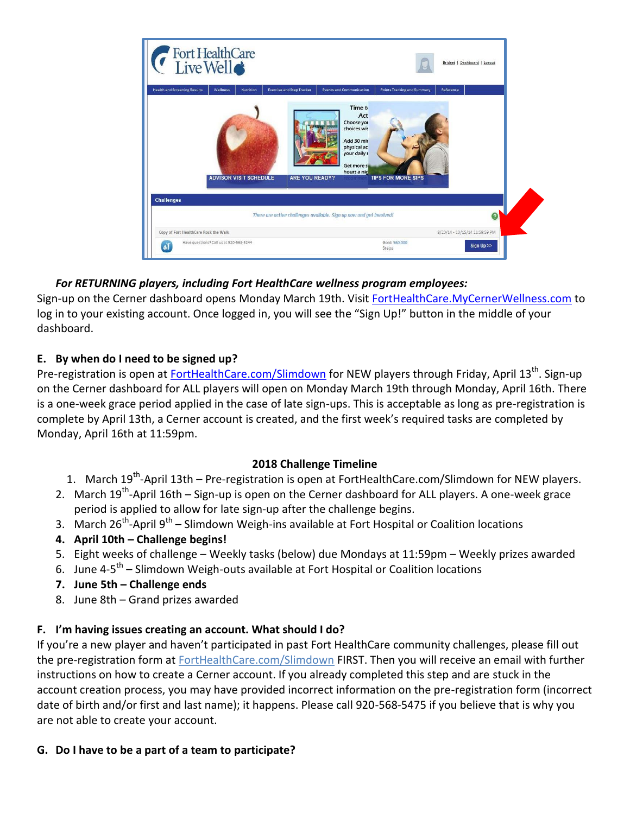

## *For RETURNING players, including Fort HealthCare wellness program employees:*

Sign-up on the Cerner dashboard opens Monday March 19th. Visit [FortHealthCare.MyCernerWellness.com](http://forthealthcare.mycernerwellness.com/) to log in to your existing account. Once logged in, you will see the "Sign Up!" button in the middle of your dashboard.

## **E. By when do I need to be signed up?**

Pre-registration is open at *FortHealthCare.com/Slimdown* for NEW players through Friday, April 13<sup>th</sup>. Sign-up on the Cerner dashboard for ALL players will open on Monday March 19th through Monday, April 16th. There is a one-week grace period applied in the case of late sign-ups. This is acceptable as long as pre-registration is complete by April 13th, a Cerner account is created, and the first week's required tasks are completed by Monday, April 16th at 11:59pm.

#### **2018 Challenge Timeline**

- 1. March 19<sup>th</sup>-April 13th Pre-registration is open at FortHealthCare.com/Slimdown for NEW players.
- 2. March 19<sup>th</sup>-April 16th Sign-up is open on the Cerner dashboard for ALL players. A one-week grace period is applied to allow for late sign-up after the challenge begins.
- 3. March 26<sup>th</sup>-April 9<sup>th</sup> Slimdown Weigh-ins available at Fort Hospital or Coalition locations
- **4. April 10th – Challenge begins!**
- 5. Eight weeks of challenge Weekly tasks (below) due Mondays at 11:59pm Weekly prizes awarded
- 6. June 4-5<sup>th</sup> Slimdown Weigh-outs available at Fort Hospital or Coalition locations
- **7. June 5th – Challenge ends**
- 8. June 8th Grand prizes awarded

# **F. I'm having issues creating an account. What should I do?**

If you're a new player and haven't participated in past Fort HealthCare community challenges, please fill out the pre-registration form at FortHealthCare.com/Slimdown FIRST. Then you will receive an email with further instructions on how to create a Cerner account. If you already completed this step and are stuck in the account creation process, you may have provided incorrect information on the pre-registration form (incorrect date of birth and/or first and last name); it happens. Please call 920-568-5475 if you believe that is why you are not able to create your account.

#### **G. Do I have to be a part of a team to participate?**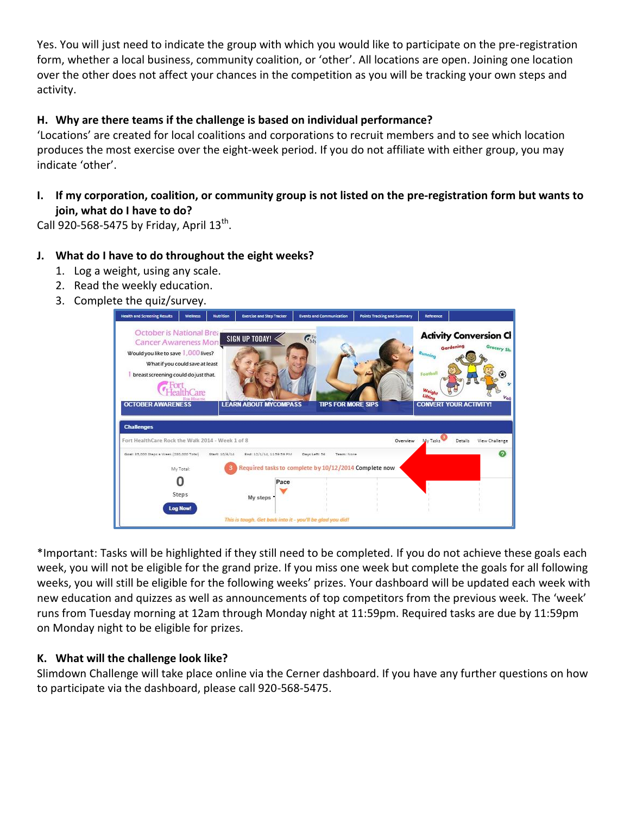Yes. You will just need to indicate the group with which you would like to participate on the pre-registration form, whether a local business, community coalition, or 'other'. All locations are open. Joining one location over the other does not affect your chances in the competition as you will be tracking your own steps and activity.

#### **H. Why are there teams if the challenge is based on individual performance?**

'Locations' are created for local coalitions and corporations to recruit members and to see which location produces the most exercise over the eight-week period. If you do not affiliate with either group, you may indicate 'other'.

**I. If my corporation, coalition, or community group is not listed on the pre-registration form but wants to join, what do I have to do?**

Call 920-568-5475 by Friday, April  $13^{th}$ .

#### **J. What do I have to do throughout the eight weeks?**

- 1. Log a weight, using any scale.
- 2. Read the weekly education.
- 3. Complete the quiz/survey.



\*Important: Tasks will be highlighted if they still need to be completed. If you do not achieve these goals each week, you will not be eligible for the grand prize. If you miss one week but complete the goals for all following weeks, you will still be eligible for the following weeks' prizes. Your dashboard will be updated each week with new education and quizzes as well as announcements of top competitors from the previous week. The 'week' runs from Tuesday morning at 12am through Monday night at 11:59pm. Required tasks are due by 11:59pm on Monday night to be eligible for prizes.

#### **K. What will the challenge look like?**

Slimdown Challenge will take place online via the Cerner dashboard. If you have any further questions on how to participate via the dashboard, please call 920-568-5475.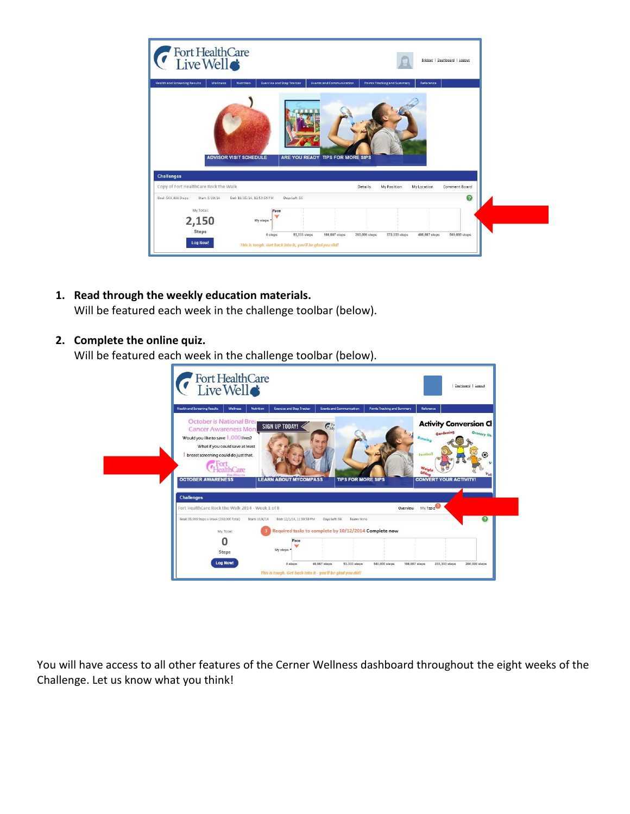| Fort HealthCare                                                                                                                                   | Bridget   Dashboard   Logout                                         |  |
|---------------------------------------------------------------------------------------------------------------------------------------------------|----------------------------------------------------------------------|--|
| <b>Health and Screening Results</b><br><b>Exercise and Step Tracker</b><br><b>Events and Communication</b><br><b>Wellness</b><br><b>Nutrition</b> | Points Tracking and Summary<br>Reference                             |  |
| ARE YOU READY TIPS FOR MORE SIPS<br><b>ADVISOR VISIT SCHEDULE</b><br><b>Challenges</b>                                                            |                                                                      |  |
| Copy of Fort HealthCare Rock the Walk                                                                                                             | <b>Comment Board</b><br><b>Details</b><br>My Position<br>My Location |  |
| Goal: 560,000 Steps<br>Start: 8/20/14<br>End: 10/15/14, 11:59:59 PM<br>Days Left: 56                                                              | €                                                                    |  |
| My Total:<br>Pace<br>2,150<br>My steps<br>Steps<br>93,333 steps<br>186,667 steps<br>0 steps                                                       | 373,333 steps<br>466,667 steps<br>560,000 steps<br>280,000 steps     |  |
| Log Now!<br>This is tough. Get back into it, you'll be glad you did!                                                                              |                                                                      |  |

**1. Read through the weekly education materials.** Will be featured each week in the challenge toolbar (below).

#### **2. Complete the online quiz.**

Will be featured each week in the challenge toolbar (below).



You will have access to all other features of the Cerner Wellness dashboard throughout the eight weeks of the Challenge. Let us know what you think!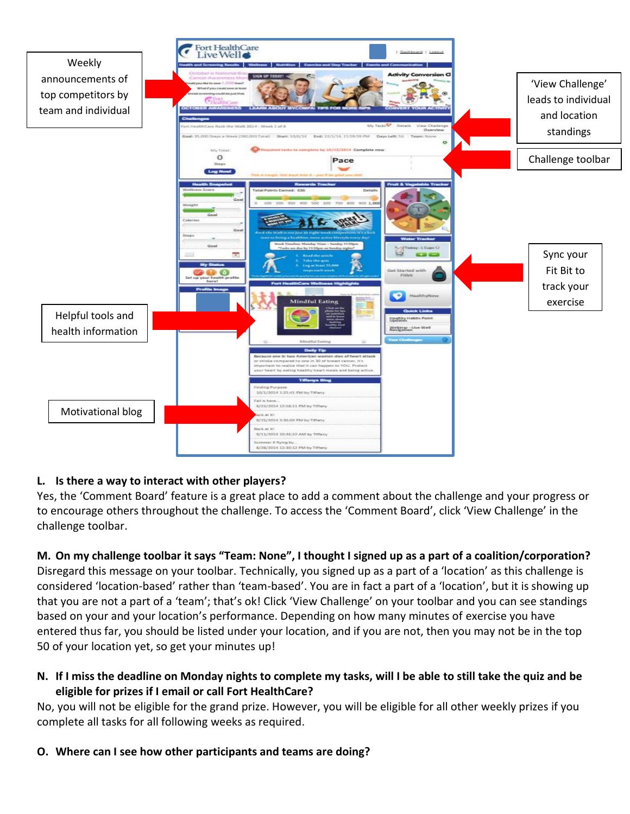

#### **L. Is there a way to interact with other players?**

Yes, the 'Comment Board' feature is a great place to add a comment about the challenge and your progress or to encourage others throughout the challenge. To access the 'Comment Board', click 'View Challenge' in the challenge toolbar.

**M. On my challenge toolbar it says "Team: None", I thought I signed up as a part of a coalition/corporation?** Disregard this message on your toolbar. Technically, you signed up as a part of a 'location' as this challenge is considered 'location-based' rather than 'team-based'. You are in fact a part of a 'location', but it is showing up that you are not a part of a 'team'; that's ok! Click 'View Challenge' on your toolbar and you can see standings based on your and your location's performance. Depending on how many minutes of exercise you have entered thus far, you should be listed under your location, and if you are not, then you may not be in the top 50 of your location yet, so get your minutes up!

**N. If I miss the deadline on Monday nights to complete my tasks, will I be able to still take the quiz and be eligible for prizes if I email or call Fort HealthCare?** 

No, you will not be eligible for the grand prize. However, you will be eligible for all other weekly prizes if you complete all tasks for all following weeks as required.

#### **O. Where can I see how other participants and teams are doing?**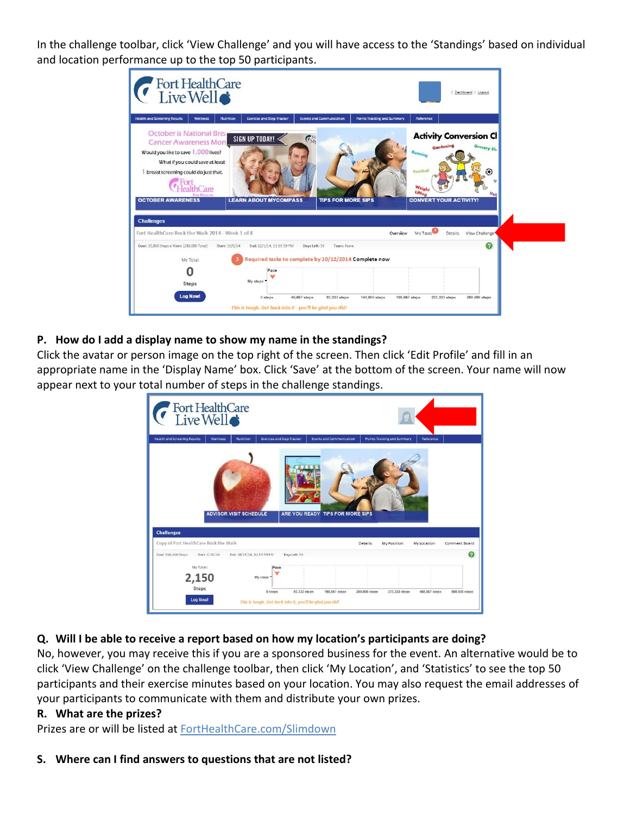In the challenge toolbar, click 'View Challenge' and you will have access to the 'Standings' based on individual and location performance up to the top 50 participants.



#### **P. How do I add a display name to show my name in the standings?**

Click the avatar or person image on the top right of the screen. Then click 'Edit Profile' and fill in an appropriate name in the 'Display Name' box. Click 'Save' at the bottom of the screen. Your name will now appear next to your total number of steps in the challenge standings.

| Fort HealthCare                       |                                  |                                  |                                 |             |                                    |
|---------------------------------------|----------------------------------|----------------------------------|---------------------------------|-------------|------------------------------------|
| <b>Nutrition</b>                      |                                  |                                  |                                 | Reference   |                                    |
|                                       |                                  |                                  |                                 |             |                                    |
| <b>ADVISOR VISIT SCHEDULE</b>         | ARE YOU READY TIPS FOR MORE SIPS |                                  |                                 |             |                                    |
| Copy of Fort HealthCare Rock the Walk |                                  | <b>Details</b>                   | My Position                     | My Location |                                    |
| End: 10/15/14, 11:59:59 PM            | Days Left: 56                    |                                  |                                 |             | Comment Board<br>ℯ                 |
|                                       |                                  | <b>Exercise and Step Tracker</b> | <b>Events and Communication</b> |             | <b>Points Tracking and Summary</b> |

#### **Q. Will I be able to receive a report based on how my location's participants are doing?**

No, however, you may receive this if you are a sponsored business for the event. An alternative would be to click 'View Challenge' on the challenge toolbar, then click 'My Location', and 'Statistics' to see the top 50 participants and their exercise minutes based on your location. You may also request the email addresses of your participants to communicate with them and distribute your own prizes.

#### **R. What are the prizes?**

Prizes are or will be listed at FortHealthCare.com/Slimdown

#### **S. Where can I find answers to questions that are not listed?**